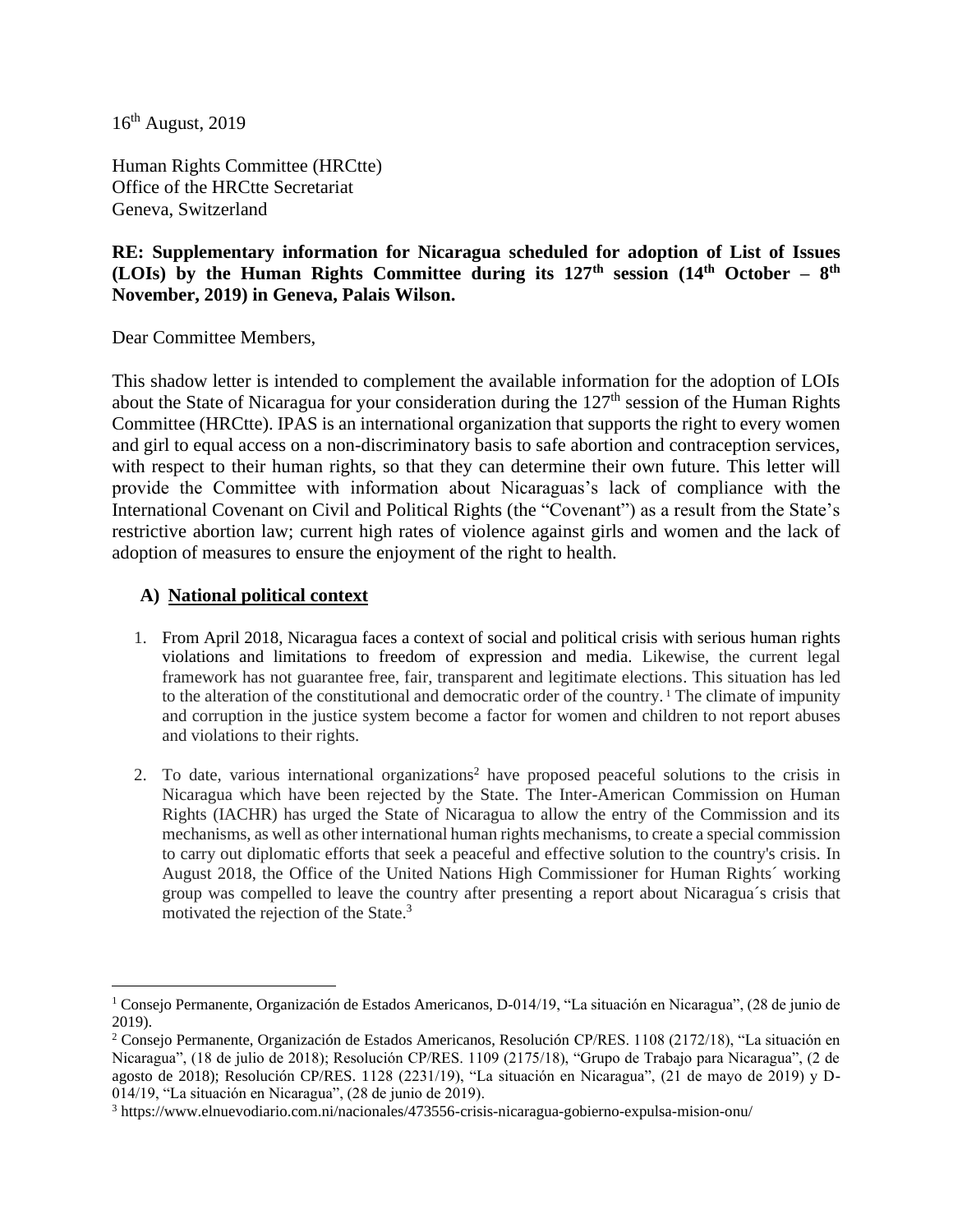16th August, 2019

Human Rights Committee (HRCtte) Office of the HRCtte Secretariat Geneva, Switzerland

# **RE: Supplementary information for Nicaragua scheduled for adoption of List of Issues (LOIs) by the Human Rights Committee during its 127th session (14th October – 8 th November, 2019) in Geneva, Palais Wilson.**

Dear Committee Members,

This shadow letter is intended to complement the available information for the adoption of LOIs about the State of Nicaragua for your consideration during the  $127<sup>th</sup>$  session of the Human Rights Committee (HRCtte). IPAS is an international organization that supports the right to every women and girl to equal access on a non-discriminatory basis to safe abortion and contraception services, with respect to their human rights, so that they can determine their own future. This letter will provide the Committee with information about Nicaraguas's lack of compliance with the International Covenant on Civil and Political Rights (the "Covenant") as a result from the State's restrictive abortion law; current high rates of violence against girls and women and the lack of adoption of measures to ensure the enjoyment of the right to health.

### **A) National political context**

- 1. From April 2018, Nicaragua faces a context of social and political crisis with serious human rights violations and limitations to freedom of expression and media. Likewise, the current legal framework has not guarantee free, fair, transparent and legitimate elections. This situation has led to the alteration of the constitutional and democratic order of the country.<sup>1</sup> The climate of impunity and corruption in the justice system become a factor for women and children to not report abuses and violations to their rights.
- 2. To date, various international organizations<sup>2</sup> have proposed peaceful solutions to the crisis in Nicaragua which have been rejected by the State. The Inter-American Commission on Human Rights (IACHR) has urged the State of Nicaragua to allow the entry of the Commission and its mechanisms, as well as other international human rights mechanisms, to create a special commission to carry out diplomatic efforts that seek a peaceful and effective solution to the country's crisis. In August 2018, the Office of the United Nations High Commissioner for Human Rights´ working group was compelled to leave the country after presenting a report about Nicaragua´s crisis that motivated the rejection of the State.<sup>3</sup>

<sup>&</sup>lt;sup>1</sup> Consejo Permanente, Organización de Estados Americanos, D-014/19, "La situación en Nicaragua", (28 de junio de 2019).

<sup>2</sup> Consejo Permanente, Organización de Estados Americanos, Resolución CP/RES. 1108 (2172/18), "La situación en Nicaragua", (18 de julio de 2018); Resolución CP/RES. 1109 (2175/18), "Grupo de Trabajo para Nicaragua", (2 de agosto de 2018); Resolución CP/RES. 1128 (2231/19), "La situación en Nicaragua", (21 de mayo de 2019) y D-014/19, "La situación en Nicaragua", (28 de junio de 2019).

<sup>3</sup> https://www.elnuevodiario.com.ni/nacionales/473556-crisis-nicaragua-gobierno-expulsa-mision-onu/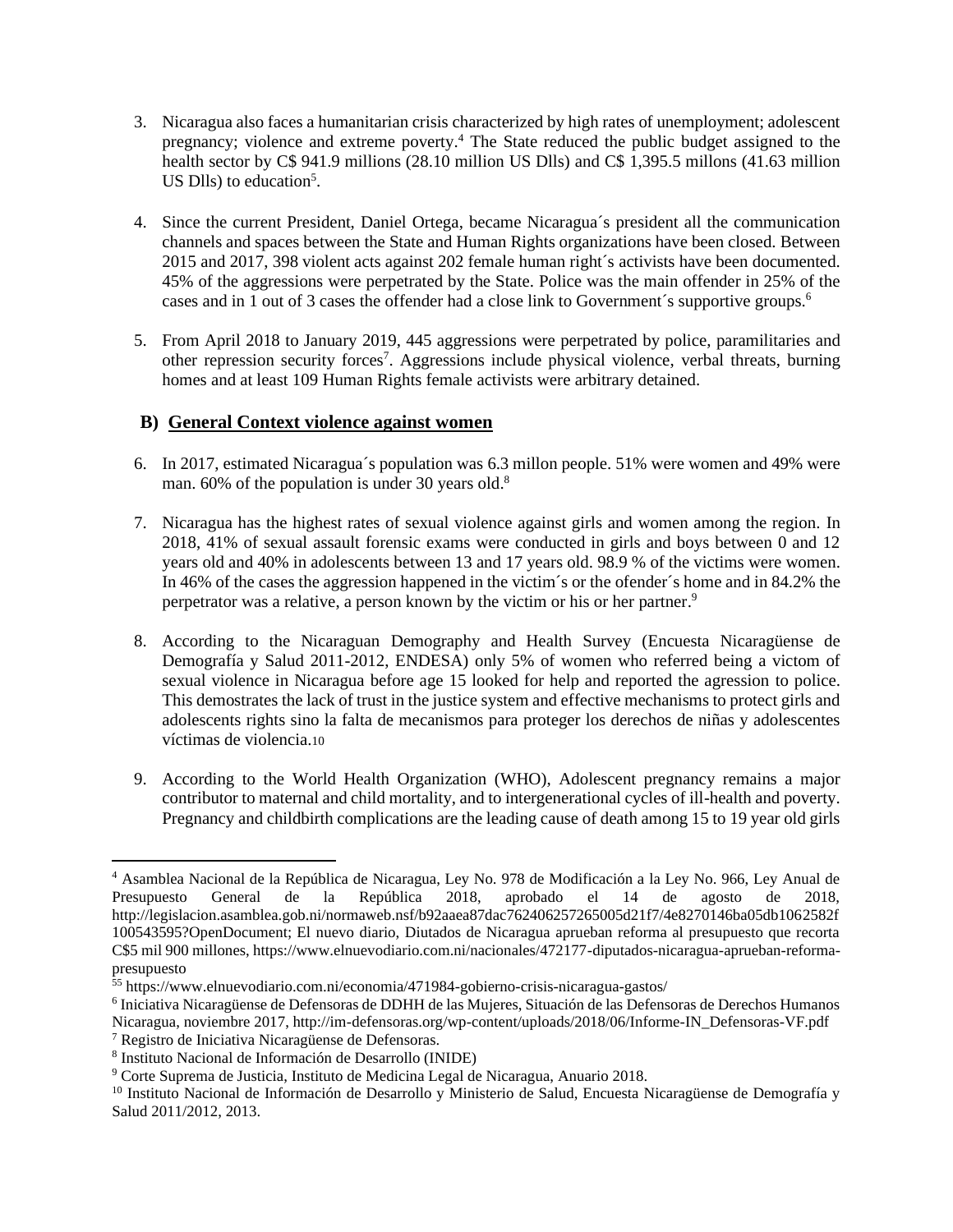- 3. Nicaragua also faces a humanitarian crisis characterized by high rates of unemployment; adolescent pregnancy; violence and extreme poverty.<sup>4</sup> The State reduced the public budget assigned to the health sector by C\$ 941.9 millions (28.10 million US Dlls) and C\$ 1,395.5 millons (41.63 million US Dlls) to education<sup>5</sup>.
- 4. Since the current President, Daniel Ortega, became Nicaragua´s president all the communication channels and spaces between the State and Human Rights organizations have been closed. Between 2015 and 2017, 398 violent acts against 202 female human right´s activists have been documented. 45% of the aggressions were perpetrated by the State. Police was the main offender in 25% of the cases and in 1 out of 3 cases the offender had a close link to Government's supportive groups.<sup>6</sup>
- 5. From April 2018 to January 2019, 445 aggressions were perpetrated by police, paramilitaries and other repression security forces<sup>7</sup>. Aggressions include physical violence, verbal threats, burning homes and at least 109 Human Rights female activists were arbitrary detained.

# **B) General Context violence against women**

- 6. In 2017, estimated Nicaragua´s population was 6.3 millon people. 51% were women and 49% were man. 60% of the population is under 30 years old.<sup>8</sup>
- 7. Nicaragua has the highest rates of sexual violence against girls and women among the region. In 2018, 41% of sexual assault forensic exams were conducted in girls and boys between 0 and 12 years old and 40% in adolescents between 13 and 17 years old. 98.9 % of the victims were women. In 46% of the cases the aggression happened in the victim´s or the ofender´s home and in 84.2% the perpetrator was a relative, a person known by the victim or his or her partner.<sup>9</sup>
- 8. According to the Nicaraguan Demography and Health Survey (Encuesta Nicaragüense de Demografía y Salud 2011-2012, ENDESA) only 5% of women who referred being a victom of sexual violence in Nicaragua before age 15 looked for help and reported the agression to police. This demostrates the lack of trust in the justice system and effective mechanisms to protect girls and adolescents rights sino la falta de mecanismos para proteger los derechos de niñas y adolescentes víctimas de violencia.10
- 9. According to the World Health Organization (WHO), Adolescent pregnancy remains a major contributor to maternal and child mortality, and to intergenerational cycles of ill-health and poverty. Pregnancy and childbirth complications are the leading cause of death among 15 to 19 year old girls

<sup>6</sup> Iniciativa Nicaragüense de Defensoras de DDHH de las Mujeres, Situación de las Defensoras de Derechos Humanos

<sup>4</sup> Asamblea Nacional de la República de Nicaragua, Ley No. 978 de Modificación a la Ley No. 966, Ley Anual de Presupuesto General de la República 2018, aprobado el 14 de agosto de 2018, http://legislacion.asamblea.gob.ni/normaweb.nsf/b92aaea87dac762406257265005d21f7/4e8270146ba05db1062582f 100543595?OpenDocument; El nuevo diario, Diutados de Nicaragua aprueban reforma al presupuesto que recorta C\$5 mil 900 millones, https://www.elnuevodiario.com.ni/nacionales/472177-diputados-nicaragua-aprueban-reformapresupuesto

<sup>55</sup> https://www.elnuevodiario.com.ni/economia/471984-gobierno-crisis-nicaragua-gastos/

Nicaragua, noviembre 2017, http://im-defensoras.org/wp-content/uploads/2018/06/Informe-IN\_Defensoras-VF.pdf

<sup>7</sup> Registro de Iniciativa Nicaragüense de Defensoras.

<sup>8</sup> Instituto Nacional de Información de Desarrollo (INIDE)

<sup>9</sup> Corte Suprema de Justicia, Instituto de Medicina Legal de Nicaragua, Anuario 2018.

<sup>&</sup>lt;sup>10</sup> Instituto Nacional de Información de Desarrollo y Ministerio de Salud, Encuesta Nicaragüense de Demografía y Salud 2011/2012, 2013.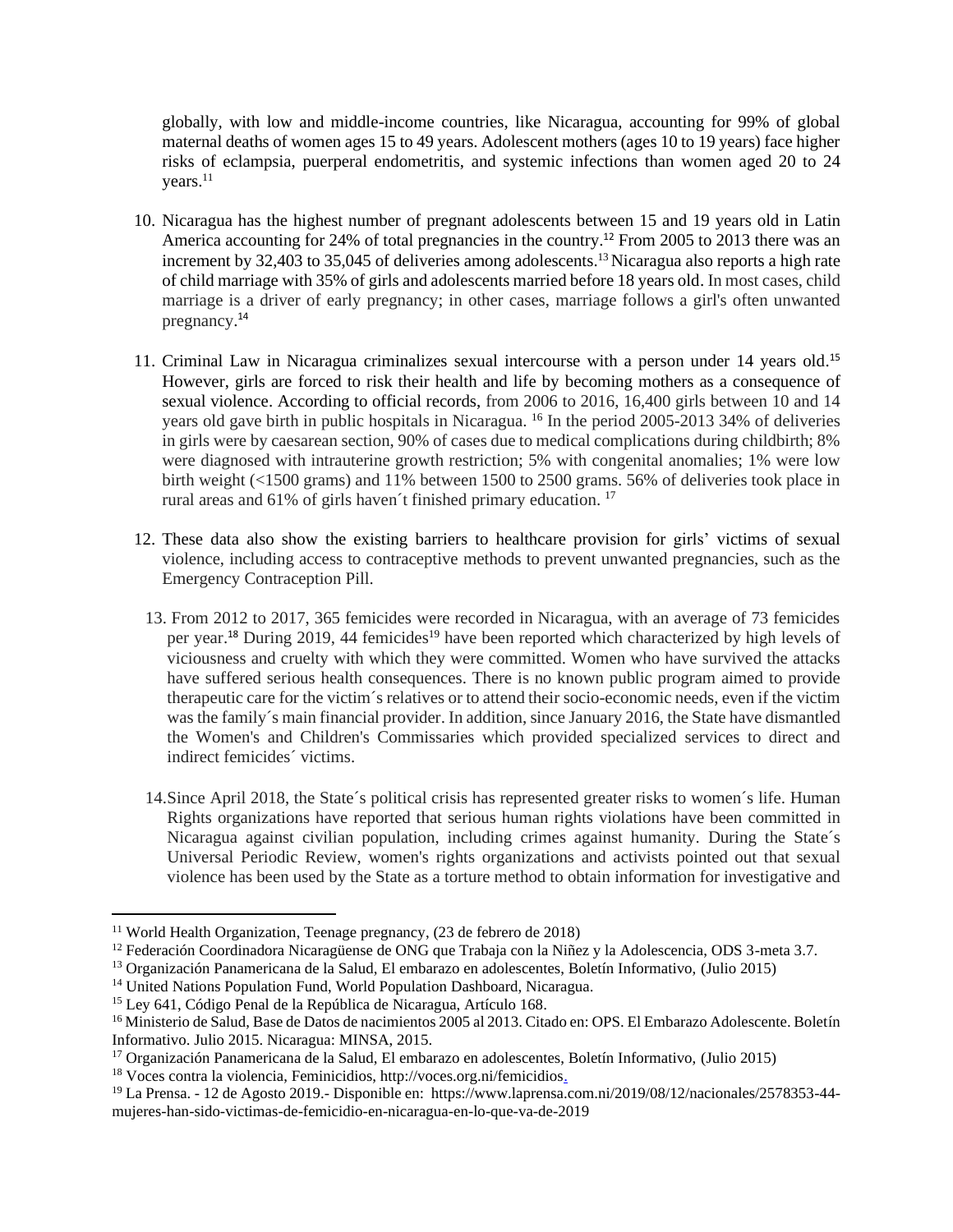globally, with low and middle-income countries, like Nicaragua, accounting for 99% of global maternal deaths of women ages 15 to 49 years. Adolescent mothers (ages 10 to 19 years) face higher risks of eclampsia, puerperal endometritis, and systemic infections than women aged 20 to 24 years. 11

- 10. Nicaragua has the highest number of pregnant adolescents between 15 and 19 years old in Latin America accounting for 24% of total pregnancies in the country.<sup>12</sup> From 2005 to 2013 there was an increment by 32,403 to 35,045 of deliveries among adolescents. <sup>13</sup> Nicaragua also reports a high rate of child marriage with 35% of girls and adolescents married before 18 years old. In most cases, child marriage is a driver of early pregnancy; in other cases, marriage follows a girl's often unwanted pregnancy. 14
- 11. Criminal Law in Nicaragua criminalizes sexual intercourse with a person under 14 years old. 15 However, girls are forced to risk their health and life by becoming mothers as a consequence of sexual violence. According to official records, from 2006 to 2016, 16,400 girls between 10 and 14 years old gave birth in public hospitals in Nicaragua. <sup>16</sup> In the period 2005-2013 34% of deliveries in girls were by caesarean section, 90% of cases due to medical complications during childbirth; 8% were diagnosed with intrauterine growth restriction; 5% with congenital anomalies; 1% were low birth weight (<1500 grams) and 11% between 1500 to 2500 grams. 56% of deliveries took place in rural areas and 61% of girls haven't finished primary education.<sup>17</sup>
- 12. These data also show the existing barriers to healthcare provision for girls' victims of sexual violence, including access to contraceptive methods to prevent unwanted pregnancies, such as the Emergency Contraception Pill.
	- 13. From 2012 to 2017, 365 femicides were recorded in Nicaragua, with an average of 73 femicides per year.<sup>18</sup> During 2019, 44 femicides<sup>19</sup> have been reported which characterized by high levels of viciousness and cruelty with which they were committed. Women who have survived the attacks have suffered serious health consequences. There is no known public program aimed to provide therapeutic care for the victim´s relatives or to attend their socio-economic needs, even if the victim was the family´s main financial provider. In addition, since January 2016, the State have dismantled the Women's and Children's Commissaries which provided specialized services to direct and indirect femicides´ victims.
	- 14.Since April 2018, the State´s political crisis has represented greater risks to women´s life. Human Rights organizations have reported that serious human rights violations have been committed in Nicaragua against civilian population, including crimes against humanity. During the State´s Universal Periodic Review, women's rights organizations and activists pointed out that sexual violence has been used by the State as a torture method to obtain information for investigative and

<sup>11</sup> World Health Organization, Teenage pregnancy, (23 de febrero de 2018)

<sup>&</sup>lt;sup>12</sup> Federación Coordinadora Nicaragüense de ONG que Trabaja con la Niñez y la Adolescencia, ODS 3-meta 3.7.

<sup>13</sup> Organización Panamericana de la Salud, El embarazo en adolescentes, Boletín Informativo, (Julio 2015)

<sup>&</sup>lt;sup>14</sup> United Nations Population Fund, World Population Dashboard, Nicaragua.

<sup>15</sup> Ley 641, Código Penal de la República de Nicaragua, Artículo 168.

<sup>&</sup>lt;sup>16</sup> Ministerio de Salud, Base de Datos de nacimientos 2005 al 2013. Citado en: OPS. El Embarazo Adolescente. Boletín Informativo. Julio 2015. Nicaragua: MINSA, 2015.

<sup>17</sup> Organización Panamericana de la Salud, El embarazo en adolescentes, Boletín Informativo, (Julio 2015)

<sup>18</sup> Voces contra la violencia, Feminicidios, http://voces.org.ni/femicidios.

<sup>19</sup> La Prensa. - 12 de Agosto 2019.- Disponible en: https://www.laprensa.com.ni/2019/08/12/nacionales/2578353-44 mujeres-han-sido-victimas-de-femicidio-en-nicaragua-en-lo-que-va-de-2019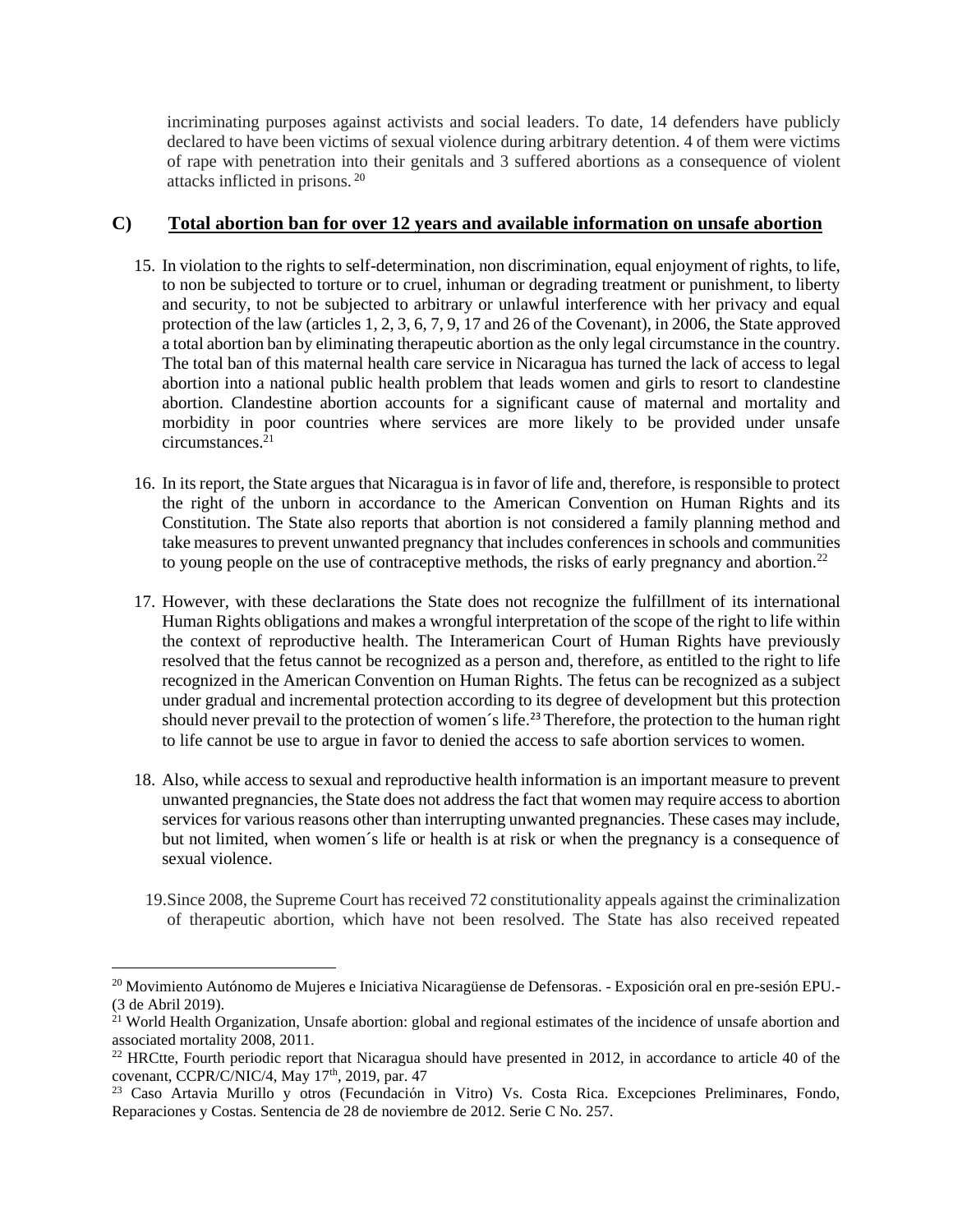incriminating purposes against activists and social leaders. To date, 14 defenders have publicly declared to have been victims of sexual violence during arbitrary detention. 4 of them were victims of rape with penetration into their genitals and 3 suffered abortions as a consequence of violent attacks inflicted in prisons. <sup>20</sup>

#### **C) Total abortion ban for over 12 years and available information on unsafe abortion**

- 15. In violation to the rights to self-determination, non discrimination, equal enjoyment of rights, to life, to non be subjected to torture or to cruel, inhuman or degrading treatment or punishment, to liberty and security, to not be subjected to arbitrary or unlawful interference with her privacy and equal protection of the law (articles 1, 2, 3, 6, 7, 9, 17 and 26 of the Covenant), in 2006, the State approved a total abortion ban by eliminating therapeutic abortion as the only legal circumstance in the country. The total ban of this maternal health care service in Nicaragua has turned the lack of access to legal abortion into a national public health problem that leads women and girls to resort to clandestine abortion. Clandestine abortion accounts for a significant cause of maternal and mortality and morbidity in poor countries where services are more likely to be provided under unsafe circumstances. $2<sup>1</sup>$
- 16. In its report, the State argues that Nicaragua is in favor of life and, therefore, is responsible to protect the right of the unborn in accordance to the American Convention on Human Rights and its Constitution. The State also reports that abortion is not considered a family planning method and take measures to prevent unwanted pregnancy that includes conferences in schools and communities to young people on the use of contraceptive methods, the risks of early pregnancy and abortion.<sup>22</sup>
- 17. However, with these declarations the State does not recognize the fulfillment of its international Human Rights obligations and makes a wrongful interpretation of the scope of the right to life within the context of reproductive health. The Interamerican Court of Human Rights have previously resolved that the fetus cannot be recognized as a person and, therefore, as entitled to the right to life recognized in the American Convention on Human Rights. The fetus can be recognized as a subject under gradual and incremental protection according to its degree of development but this protection should never prevail to the protection of women's life.<sup>23</sup> Therefore, the protection to the human right to life cannot be use to argue in favor to denied the access to safe abortion services to women.
- 18. Also, while access to sexual and reproductive health information is an important measure to prevent unwanted pregnancies, the State does not address the fact that women may require access to abortion services for various reasons other than interrupting unwanted pregnancies. These cases may include, but not limited, when women´s life or health is at risk or when the pregnancy is a consequence of sexual violence.
	- 19.Since 2008, the Supreme Court has received 72 constitutionality appeals against the criminalization of therapeutic abortion, which have not been resolved. The State has also received repeated

<sup>20</sup> Movimiento Autónomo de Mujeres e Iniciativa Nicaragüense de Defensoras. - Exposición oral en pre-sesión EPU.- (3 de Abril 2019).

<sup>&</sup>lt;sup>21</sup> World Health Organization, Unsafe abortion: global and regional estimates of the incidence of unsafe abortion and associated mortality 2008, 2011.

<sup>&</sup>lt;sup>22</sup> HRCtte, Fourth periodic report that Nicaragua should have presented in 2012, in accordance to article 40 of the covenant, CCPR/C/NIC/4, May 17<sup>th</sup>, 2019, par. 47

<sup>&</sup>lt;sup>23</sup> Caso Artavia Murillo y otros (Fecundación in Vitro) Vs. Costa Rica. Excepciones Preliminares, Fondo, Reparaciones y Costas. Sentencia de 28 de noviembre de 2012. Serie C No. 257.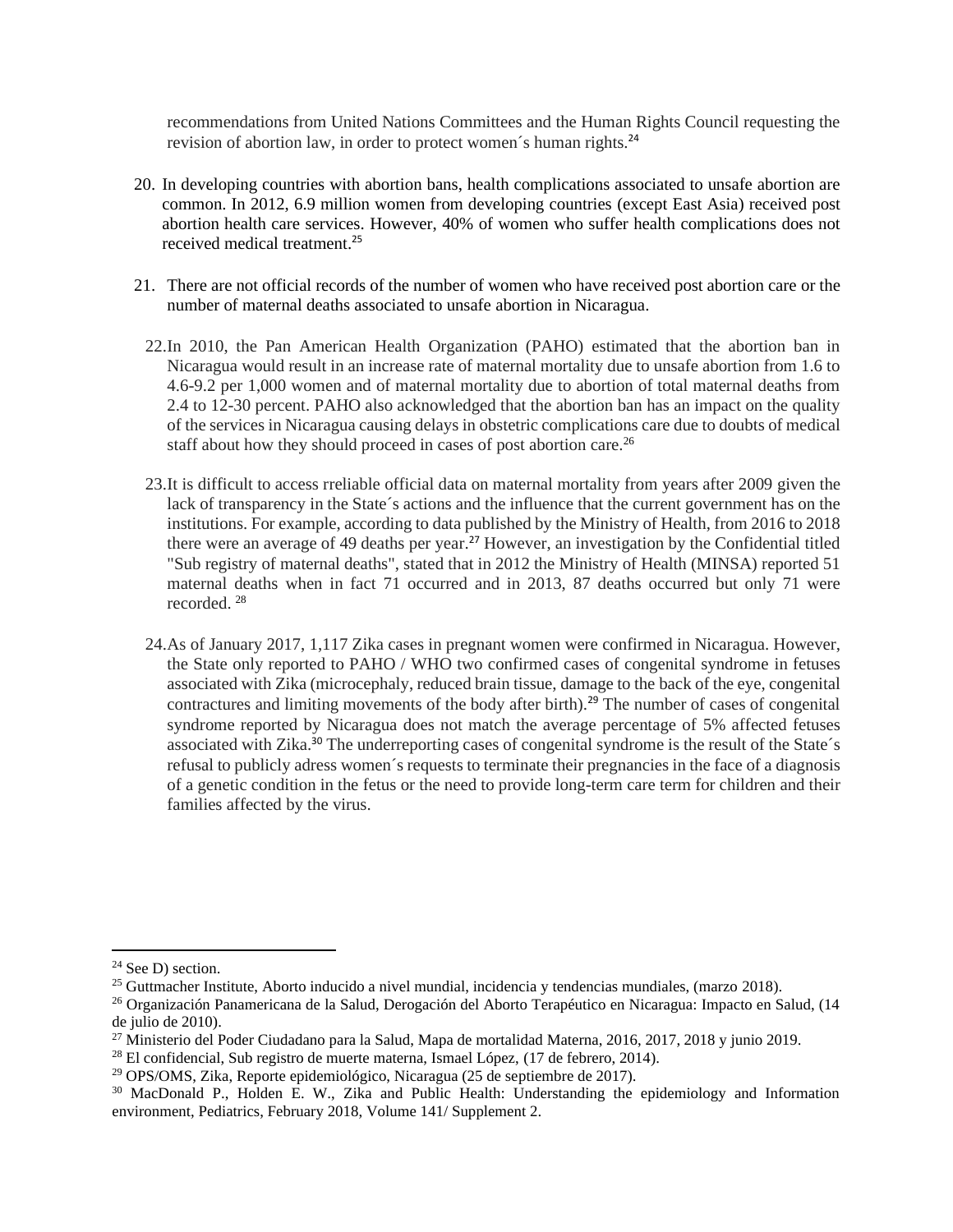recommendations from United Nations Committees and the Human Rights Council requesting the revision of abortion law, in order to protect women´s human rights.<sup>24</sup>

- 20. In developing countries with abortion bans, health complications associated to unsafe abortion are common. In 2012, 6.9 million women from developing countries (except East Asia) received post abortion health care services. However, 40% of women who suffer health complications does not received medical treatment. 25
- 21. There are not official records of the number of women who have received post abortion care or the number of maternal deaths associated to unsafe abortion in Nicaragua.
	- 22.In 2010, the Pan American Health Organization (PAHO) estimated that the abortion ban in Nicaragua would result in an increase rate of maternal mortality due to unsafe abortion from 1.6 to 4.6-9.2 per 1,000 women and of maternal mortality due to abortion of total maternal deaths from 2.4 to 12-30 percent. PAHO also acknowledged that the abortion ban has an impact on the quality of the services in Nicaragua causing delays in obstetric complications care due to doubts of medical staff about how they should proceed in cases of post abortion care.<sup>26</sup>
	- 23.It is difficult to access rreliable official data on maternal mortality from years after 2009 given the lack of transparency in the State´s actions and the influence that the current government has on the institutions. For example, according to data published by the Ministry of Health, from 2016 to 2018 there were an average of 49 deaths per year.<sup>27</sup> However, an investigation by the Confidential titled "Sub registry of maternal deaths", stated that in 2012 the Ministry of Health (MINSA) reported 51 maternal deaths when in fact 71 occurred and in 2013, 87 deaths occurred but only 71 were recorded. <sup>28</sup>
	- 24.As of January 2017, 1,117 Zika cases in pregnant women were confirmed in Nicaragua. However, the State only reported to PAHO / WHO two confirmed cases of congenital syndrome in fetuses associated with Zika (microcephaly, reduced brain tissue, damage to the back of the eye, congenital contractures and limiting movements of the body after birth).<sup>29</sup> The number of cases of congenital syndrome reported by Nicaragua does not match the average percentage of 5% affected fetuses associated with Zika.<sup>30</sup> The underreporting cases of congenital syndrome is the result of the State's refusal to publicly adress women´s requests to terminate their pregnancies in the face of a diagnosis of a genetic condition in the fetus or the need to provide long-term care term for children and their families affected by the virus.

<sup>&</sup>lt;sup>24</sup> See D) section.

<sup>&</sup>lt;sup>25</sup> Guttmacher Institute, Aborto inducido a nivel mundial, incidencia y tendencias mundiales, (marzo 2018).

<sup>26</sup> Organización Panamericana de la Salud, Derogación del Aborto Terapéutico en Nicaragua: Impacto en Salud, (14 de julio de 2010).

<sup>&</sup>lt;sup>27</sup> Ministerio del Poder Ciudadano para la Salud, Mapa de mortalidad Materna, 2016, 2017, 2018 y junio 2019.

 $^{28}$  El confidencial, Sub registro de muerte materna, Ismael López, (17 de febrero, 2014).

<sup>29</sup> OPS/OMS, Zika, Reporte epidemiológico, Nicaragua (25 de septiembre de 2017).

<sup>&</sup>lt;sup>30</sup> MacDonald P., Holden E. W., Zika and Public Health: Understanding the epidemiology and Information environment, Pediatrics, February 2018, Volume 141/ Supplement 2.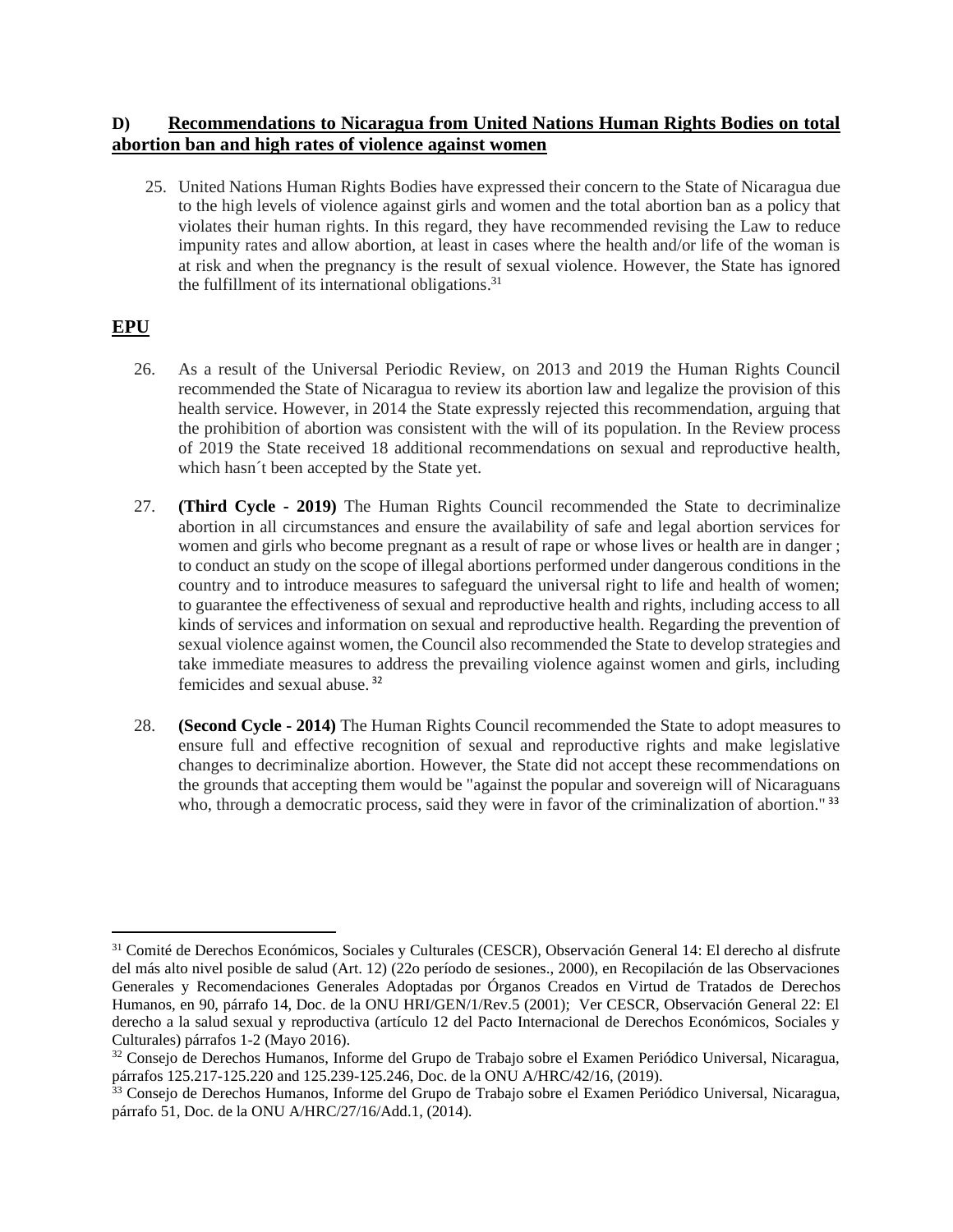### **D) Recommendations to Nicaragua from United Nations Human Rights Bodies on total abortion ban and high rates of violence against women**

25. United Nations Human Rights Bodies have expressed their concern to the State of Nicaragua due to the high levels of violence against girls and women and the total abortion ban as a policy that violates their human rights. In this regard, they have recommended revising the Law to reduce impunity rates and allow abortion, at least in cases where the health and/or life of the woman is at risk and when the pregnancy is the result of sexual violence. However, the State has ignored the fulfillment of its international obligations.<sup>31</sup>

# **EPU**

- 26. As a result of the Universal Periodic Review, on 2013 and 2019 the Human Rights Council recommended the State of Nicaragua to review its abortion law and legalize the provision of this health service. However, in 2014 the State expressly rejected this recommendation, arguing that the prohibition of abortion was consistent with the will of its population. In the Review process of 2019 the State received 18 additional recommendations on sexual and reproductive health, which hasn´t been accepted by the State yet.
- 27. **(Third Cycle - 2019)** The Human Rights Council recommended the State to decriminalize abortion in all circumstances and ensure the availability of safe and legal abortion services for women and girls who become pregnant as a result of rape or whose lives or health are in danger ; to conduct an study on the scope of illegal abortions performed under dangerous conditions in the country and to introduce measures to safeguard the universal right to life and health of women; to guarantee the effectiveness of sexual and reproductive health and rights, including access to all kinds of services and information on sexual and reproductive health. Regarding the prevention of sexual violence against women, the Council also recommended the State to develop strategies and take immediate measures to address the prevailing violence against women and girls, including femicides and sexual abuse. <sup>32</sup>
- 28. **(Second Cycle - 2014)** The Human Rights Council recommended the State to adopt measures to ensure full and effective recognition of sexual and reproductive rights and make legislative changes to decriminalize abortion. However, the State did not accept these recommendations on the grounds that accepting them would be "against the popular and sovereign will of Nicaraguans who, through a democratic process, said they were in favor of the criminalization of abortion."<sup>33</sup>

<sup>31</sup> Comité de Derechos Económicos, Sociales y Culturales (CESCR), Observación General 14: El derecho al disfrute del más alto nivel posible de salud (Art. 12) (22o período de sesiones., 2000), en Recopilación de las Observaciones Generales y Recomendaciones Generales Adoptadas por Órganos Creados en Virtud de Tratados de Derechos Humanos, en 90, párrafo 14, Doc. de la ONU HRI/GEN/1/Rev.5 (2001); Ver CESCR, Observación General 22: El derecho a la salud sexual y reproductiva (artículo 12 del Pacto Internacional de Derechos Económicos, Sociales y Culturales) párrafos 1-2 (Mayo 2016).

<sup>32</sup> Consejo de Derechos Humanos, Informe del Grupo de Trabajo sobre el Examen Periódico Universal, Nicaragua, párrafos 125.217-125.220 and 125.239-125.246, Doc. de la ONU A/HRC/42/16, (2019).

<sup>33</sup> Consejo de Derechos Humanos, Informe del Grupo de Trabajo sobre el Examen Periódico Universal, Nicaragua, párrafo 51, Doc. de la ONU A/HRC/27/16/Add.1, (2014).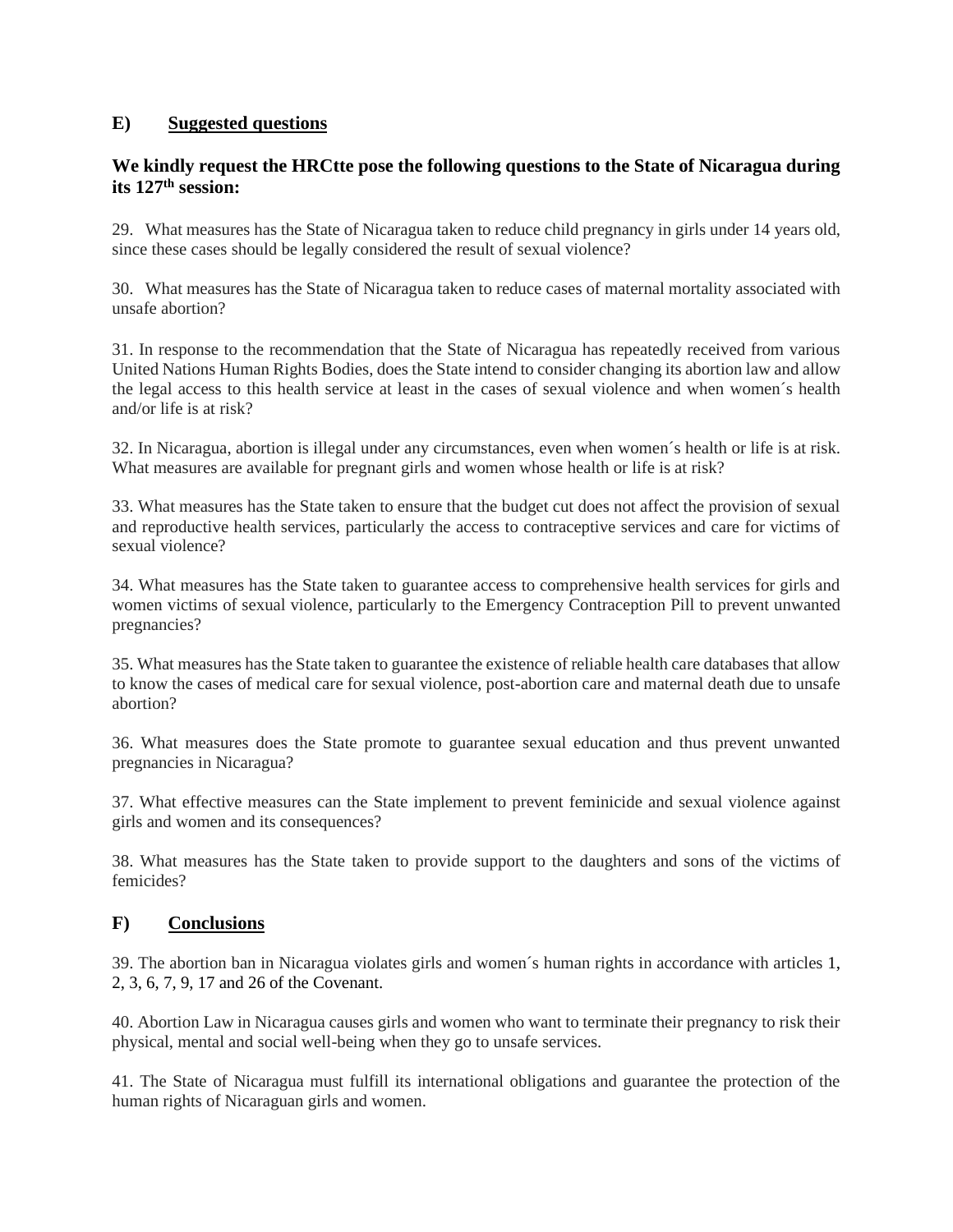### **E) Suggested questions**

# **We kindly request the HRCtte pose the following questions to the State of Nicaragua during its 127th session:**

29. What measures has the State of Nicaragua taken to reduce child pregnancy in girls under 14 years old, since these cases should be legally considered the result of sexual violence?

30. What measures has the State of Nicaragua taken to reduce cases of maternal mortality associated with unsafe abortion?

31. In response to the recommendation that the State of Nicaragua has repeatedly received from various United Nations Human Rights Bodies, does the State intend to consider changing its abortion law and allow the legal access to this health service at least in the cases of sexual violence and when women´s health and/or life is at risk?

32. In Nicaragua, abortion is illegal under any circumstances, even when women´s health or life is at risk. What measures are available for pregnant girls and women whose health or life is at risk?

33. What measures has the State taken to ensure that the budget cut does not affect the provision of sexual and reproductive health services, particularly the access to contraceptive services and care for victims of sexual violence?

34. What measures has the State taken to guarantee access to comprehensive health services for girls and women victims of sexual violence, particularly to the Emergency Contraception Pill to prevent unwanted pregnancies?

35. What measures has the State taken to guarantee the existence of reliable health care databases that allow to know the cases of medical care for sexual violence, post-abortion care and maternal death due to unsafe abortion?

36. What measures does the State promote to guarantee sexual education and thus prevent unwanted pregnancies in Nicaragua?

37. What effective measures can the State implement to prevent feminicide and sexual violence against girls and women and its consequences?

38. What measures has the State taken to provide support to the daughters and sons of the victims of femicides?

### **F) Conclusions**

39. The abortion ban in Nicaragua violates girls and women´s human rights in accordance with articles 1, 2, 3, 6, 7, 9, 17 and 26 of the Covenant.

40. Abortion Law in Nicaragua causes girls and women who want to terminate their pregnancy to risk their physical, mental and social well-being when they go to unsafe services.

41. The State of Nicaragua must fulfill its international obligations and guarantee the protection of the human rights of Nicaraguan girls and women.